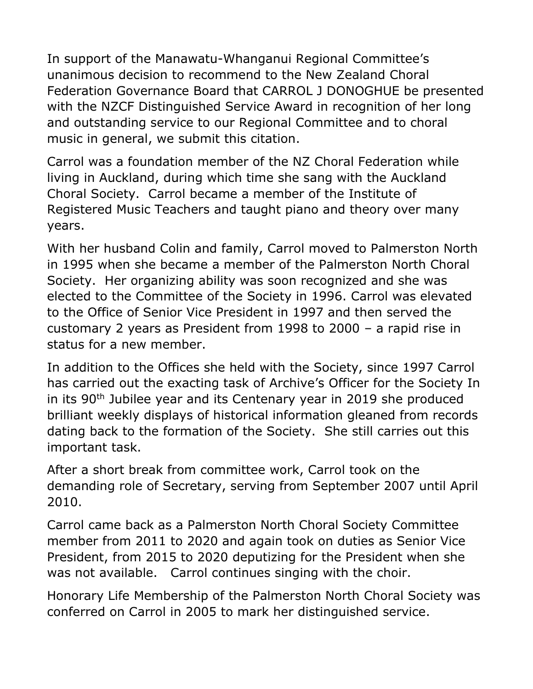In support of the Manawatu-Whanganui Regional Committee's unanimous decision to recommend to the New Zealand Choral Federation Governance Board that CARROL J DONOGHUE be presented with the NZCF Distinguished Service Award in recognition of her long and outstanding service to our Regional Committee and to choral music in general, we submit this citation.

Carrol was a foundation member of the NZ Choral Federation while living in Auckland, during which time she sang with the Auckland Choral Society. Carrol became a member of the Institute of Registered Music Teachers and taught piano and theory over many years.

With her husband Colin and family, Carrol moved to Palmerston North in 1995 when she became a member of the Palmerston North Choral Society. Her organizing ability was soon recognized and she was elected to the Committee of the Society in 1996. Carrol was elevated to the Office of Senior Vice President in 1997 and then served the customary 2 years as President from 1998 to 2000 – a rapid rise in status for a new member.

In addition to the Offices she held with the Society, since 1997 Carrol has carried out the exacting task of Archive's Officer for the Society In in its 90<sup>th</sup> Jubilee year and its Centenary year in 2019 she produced brilliant weekly displays of historical information gleaned from records dating back to the formation of the Society. She still carries out this important task.

After a short break from committee work, Carrol took on the demanding role of Secretary, serving from September 2007 until April 2010.

Carrol came back as a Palmerston North Choral Society Committee member from 2011 to 2020 and again took on duties as Senior Vice President, from 2015 to 2020 deputizing for the President when she was not available. Carrol continues singing with the choir.

Honorary Life Membership of the Palmerston North Choral Society was conferred on Carrol in 2005 to mark her distinguished service.